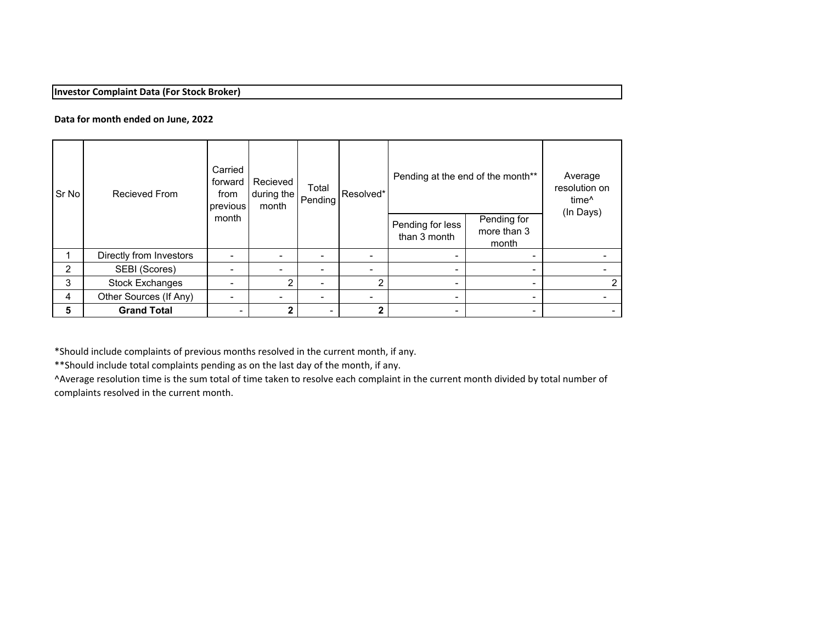## **Investor Complaint Data (For Stock Broker)**

### **Data for month ended on June, 2022**

| Sr No          | <b>Recieved From</b>    | Carried<br>forward<br>from<br>previous<br>month | Recieved<br>during the<br>month | Total<br>Pending         | Resolved*                | Pending at the end of the month** |                                     | Average<br>resolution on<br>time <sup>^</sup><br>(In Days) |
|----------------|-------------------------|-------------------------------------------------|---------------------------------|--------------------------|--------------------------|-----------------------------------|-------------------------------------|------------------------------------------------------------|
|                |                         |                                                 |                                 |                          |                          | Pending for less<br>than 3 month  | Pending for<br>more than 3<br>month |                                                            |
|                | Directly from Investors |                                                 |                                 |                          |                          |                                   |                                     |                                                            |
| $\overline{2}$ | SEBI (Scores)           |                                                 | -                               | $\overline{\phantom{0}}$ | -                        |                                   |                                     |                                                            |
| 3              | <b>Stock Exchanges</b>  |                                                 | ◠                               | $\overline{\phantom{0}}$ | ◠                        | -                                 |                                     | $\mathcal{P}$                                              |
| 4              | Other Sources (If Any)  |                                                 | -                               | $\overline{\phantom{0}}$ | $\overline{\phantom{0}}$ |                                   | $\overline{\phantom{0}}$            |                                                            |
| 5              | <b>Grand Total</b>      |                                                 |                                 |                          |                          | -                                 | -                                   |                                                            |

\*Should include complaints of previous months resolved in the current month, if any.

\*\*Should include total complaints pending as on the last day of the month, if any.

^Average resolution time is the sum total of time taken to resolve each complaint in the current month divided by total number of complaints resolved in the current month.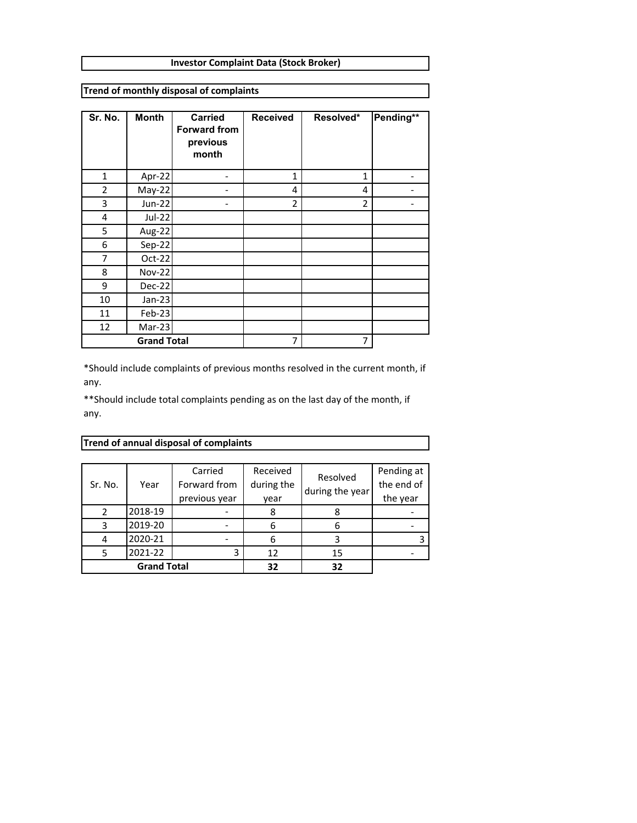#### **Investor Complaint Data (Stock Broker)**

**Trend of monthly disposal of complaints**

**Trend of annual disposal of complaints**

| Sr. No.        | <b>Month</b>       | <b>Carried</b><br><b>Forward from</b><br>previous<br>month | <b>Received</b> | Resolved*      | Pending** |
|----------------|--------------------|------------------------------------------------------------|-----------------|----------------|-----------|
| $\mathbf{1}$   | Apr-22             |                                                            | 1               | $\mathbf{1}$   |           |
| $\overline{2}$ | May-22             |                                                            | 4               | 4              |           |
| 3              | <b>Jun-22</b>      |                                                            | $\overline{2}$  | $\overline{2}$ |           |
| 4              | <b>Jul-22</b>      |                                                            |                 |                |           |
| 5              | Aug-22             |                                                            |                 |                |           |
| 6              | $Sep-22$           |                                                            |                 |                |           |
| 7              | Oct-22             |                                                            |                 |                |           |
| 8              | <b>Nov-22</b>      |                                                            |                 |                |           |
| 9              | Dec-22             |                                                            |                 |                |           |
| 10             | $Jan-23$           |                                                            |                 |                |           |
| 11             | Feb-23             |                                                            |                 |                |           |
| 12             | Mar-23             |                                                            |                 |                |           |
|                | <b>Grand Total</b> |                                                            | 7               | 7              |           |

\*Should include complaints of previous months resolved in the current month, if any.

\*\*Should include total complaints pending as on the last day of the month, if any.

|         | Year               | Carried       | Received   | Resolved        | Pending at |
|---------|--------------------|---------------|------------|-----------------|------------|
| Sr. No. |                    | Forward from  | during the |                 | the end of |
|         |                    | previous year | year       | during the year | the year   |
|         | 2018-19            |               |            |                 |            |
| 3       | 2019-20            |               | 6          | 6               |            |
|         | 2020-21            |               |            | ર               |            |
|         | 2021-22            | ว             | 12         | 15              |            |
|         | <b>Grand Total</b> |               | 32         | 32              |            |